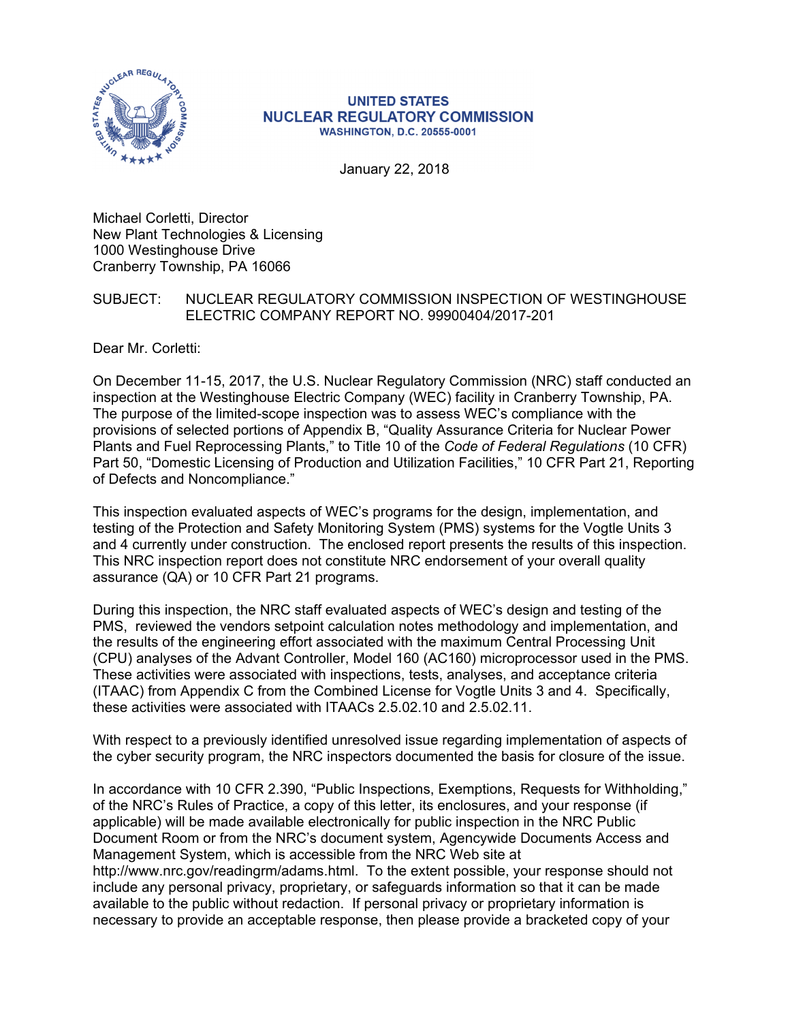

#### **UNITED STATES NUCLEAR REGULATORY COMMISSION WASHINGTON, D.C. 20555-0001**

January 22, 2018

Michael Corletti, Director New Plant Technologies & Licensing 1000 Westinghouse Drive Cranberry Township, PA 16066

#### SUBJECT: NUCLEAR REGULATORY COMMISSION INSPECTION OF WESTINGHOUSE ELECTRIC COMPANY REPORT NO. 99900404/2017-201

Dear Mr. Corletti:

On December 11-15, 2017, the U.S. Nuclear Regulatory Commission (NRC) staff conducted an inspection at the Westinghouse Electric Company (WEC) facility in Cranberry Township, PA. The purpose of the limited-scope inspection was to assess WEC's compliance with the provisions of selected portions of Appendix B, "Quality Assurance Criteria for Nuclear Power Plants and Fuel Reprocessing Plants," to Title 10 of the *Code of Federal Regulations* (10 CFR) Part 50, "Domestic Licensing of Production and Utilization Facilities," 10 CFR Part 21, Reporting of Defects and Noncompliance."

This inspection evaluated aspects of WEC's programs for the design, implementation, and testing of the Protection and Safety Monitoring System (PMS) systems for the Vogtle Units 3 and 4 currently under construction. The enclosed report presents the results of this inspection. This NRC inspection report does not constitute NRC endorsement of your overall quality assurance (QA) or 10 CFR Part 21 programs.

During this inspection, the NRC staff evaluated aspects of WEC's design and testing of the PMS, reviewed the vendors setpoint calculation notes methodology and implementation, and the results of the engineering effort associated with the maximum Central Processing Unit (CPU) analyses of the Advant Controller, Model 160 (AC160) microprocessor used in the PMS. These activities were associated with inspections, tests, analyses, and acceptance criteria (ITAAC) from Appendix C from the Combined License for Vogtle Units 3 and 4. Specifically, these activities were associated with ITAACs 2.5.02.10 and 2.5.02.11.

With respect to a previously identified unresolved issue regarding implementation of aspects of the cyber security program, the NRC inspectors documented the basis for closure of the issue.

In accordance with 10 CFR 2.390, "Public Inspections, Exemptions, Requests for Withholding," of the NRC's Rules of Practice, a copy of this letter, its enclosures, and your response (if applicable) will be made available electronically for public inspection in the NRC Public Document Room or from the NRC's document system, Agencywide Documents Access and Management System, which is accessible from the NRC Web site at http://www.nrc.gov/readingrm/adams.html. To the extent possible, your response should not include any personal privacy, proprietary, or safeguards information so that it can be made available to the public without redaction. If personal privacy or proprietary information is necessary to provide an acceptable response, then please provide a bracketed copy of your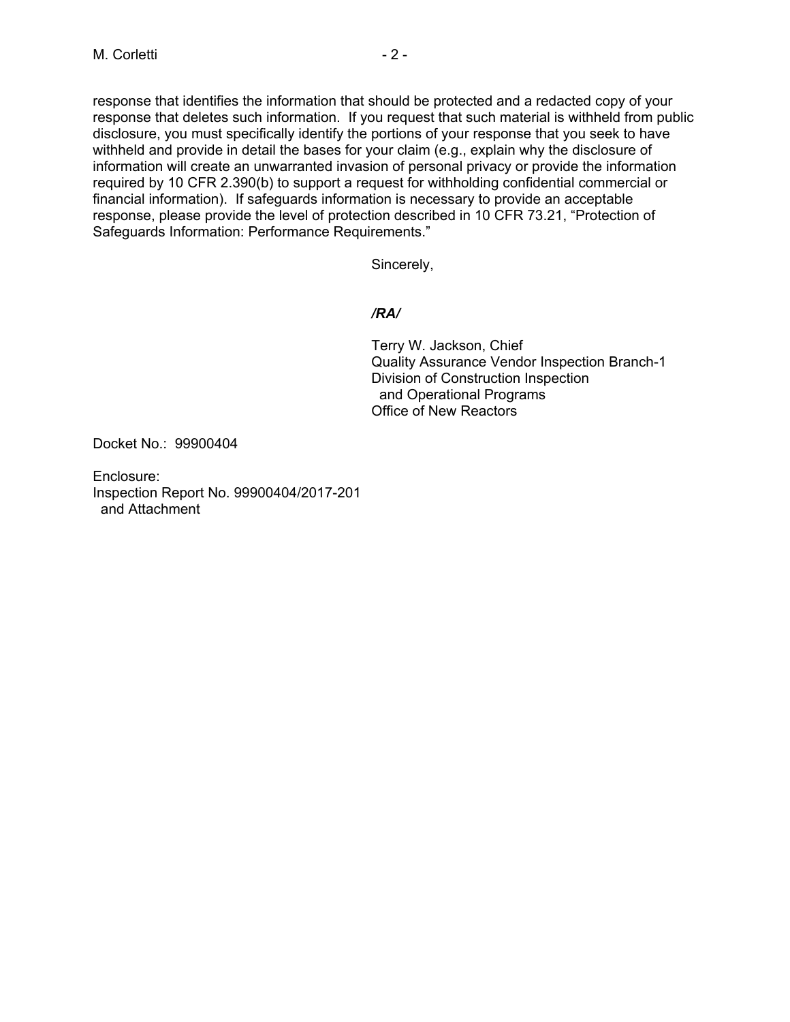response that identifies the information that should be protected and a redacted copy of your response that deletes such information. If you request that such material is withheld from public disclosure, you must specifically identify the portions of your response that you seek to have withheld and provide in detail the bases for your claim (e.g., explain why the disclosure of information will create an unwarranted invasion of personal privacy or provide the information required by 10 CFR 2.390(b) to support a request for withholding confidential commercial or financial information). If safeguards information is necessary to provide an acceptable response, please provide the level of protection described in 10 CFR 73.21, "Protection of Safeguards Information: Performance Requirements."

Sincerely,

## */RA/*

Terry W. Jackson, Chief Quality Assurance Vendor Inspection Branch-1 Division of Construction Inspection and Operational Programs Office of New Reactors

Docket No.: 99900404

Enclosure: Inspection Report No. 99900404/2017-201 and Attachment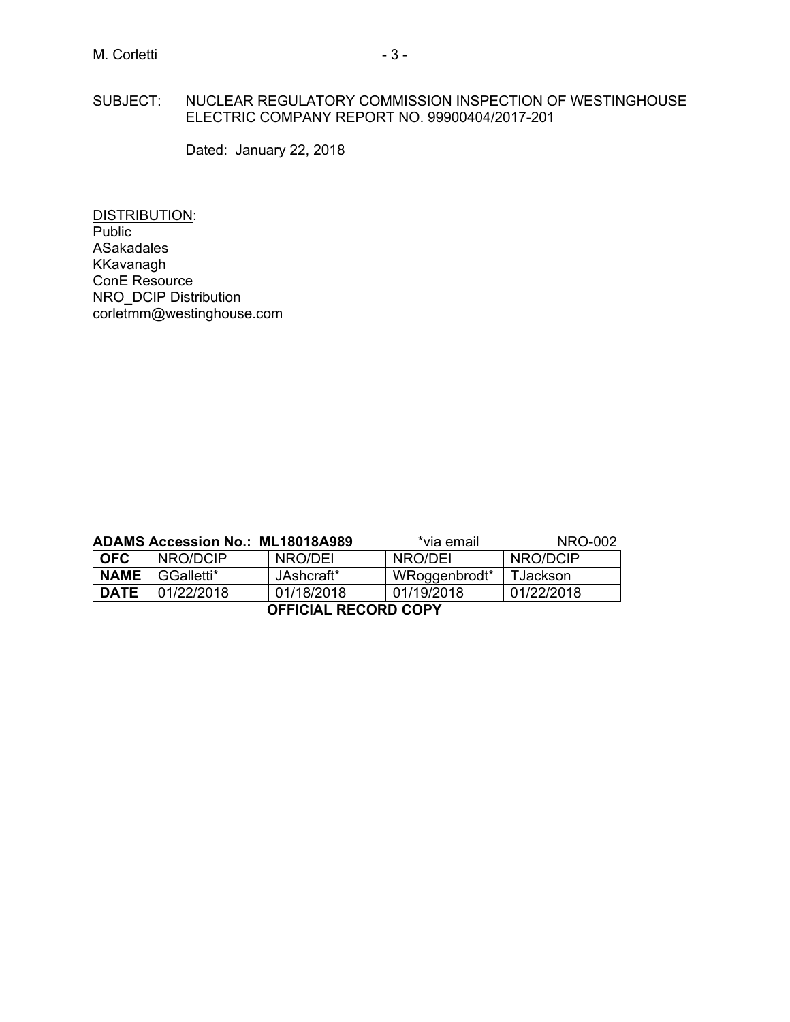#### SUBJECT: NUCLEAR REGULATORY COMMISSION INSPECTION OF WESTINGHOUSE ELECTRIC COMPANY REPORT NO. 99900404/2017-201

Dated: January 22, 2018

DISTRIBUTION: Public ASakadales KKavanagh ConE Resource NRO\_DCIP Distribution corletmm@westinghouse.com

| ADAMS Accession No.: ML18018A989 |            |            | *via email    | NRO-002    |
|----------------------------------|------------|------------|---------------|------------|
| <b>OFC</b>                       | NRO/DCIP   | NRO/DEI    | NRO/DEI       | NRO/DCIP   |
| <b>NAME</b>                      | GGalletti* | JAshcraft* | WRoggenbrodt* | TJackson   |
| <b>DATE</b>                      | 01/22/2018 | 01/18/2018 | 01/19/2018    | 01/22/2018 |
| <b>OFFICIAL RECORD COPY</b>      |            |            |               |            |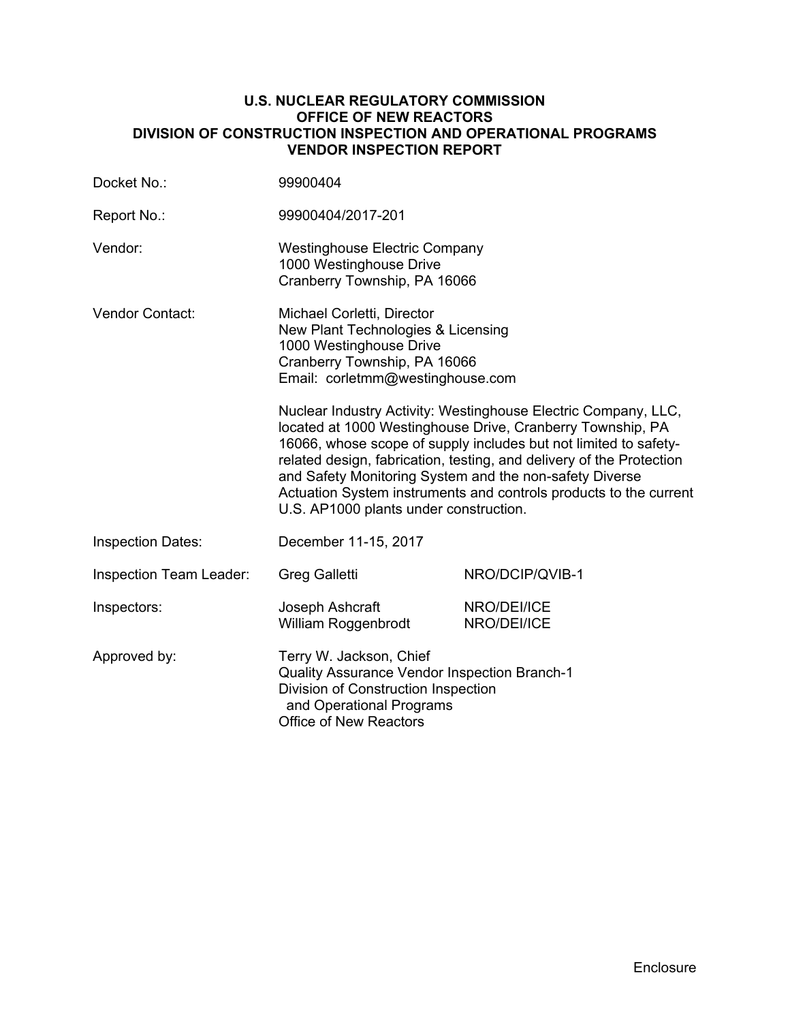#### **U.S. NUCLEAR REGULATORY COMMISSION OFFICE OF NEW REACTORS DIVISION OF CONSTRUCTION INSPECTION AND OPERATIONAL PROGRAMS VENDOR INSPECTION REPORT**

| Docket No.:                                                                                                                                                                                 | 99900404                                                                                                                                                                                                                                                                                                                                                                                                                                           |                            |  |
|---------------------------------------------------------------------------------------------------------------------------------------------------------------------------------------------|----------------------------------------------------------------------------------------------------------------------------------------------------------------------------------------------------------------------------------------------------------------------------------------------------------------------------------------------------------------------------------------------------------------------------------------------------|----------------------------|--|
| Report No.:                                                                                                                                                                                 | 99900404/2017-201                                                                                                                                                                                                                                                                                                                                                                                                                                  |                            |  |
| Vendor:                                                                                                                                                                                     | <b>Westinghouse Electric Company</b><br>1000 Westinghouse Drive<br>Cranberry Township, PA 16066                                                                                                                                                                                                                                                                                                                                                    |                            |  |
| Vendor Contact:                                                                                                                                                                             | Michael Corletti, Director<br>New Plant Technologies & Licensing<br>1000 Westinghouse Drive<br>Cranberry Township, PA 16066<br>Email: corletmm@westinghouse.com                                                                                                                                                                                                                                                                                    |                            |  |
|                                                                                                                                                                                             | Nuclear Industry Activity: Westinghouse Electric Company, LLC,<br>located at 1000 Westinghouse Drive, Cranberry Township, PA<br>16066, whose scope of supply includes but not limited to safety-<br>related design, fabrication, testing, and delivery of the Protection<br>and Safety Monitoring System and the non-safety Diverse<br>Actuation System instruments and controls products to the current<br>U.S. AP1000 plants under construction. |                            |  |
| <b>Inspection Dates:</b>                                                                                                                                                                    | December 11-15, 2017                                                                                                                                                                                                                                                                                                                                                                                                                               |                            |  |
| Inspection Team Leader:                                                                                                                                                                     | <b>Greg Galletti</b>                                                                                                                                                                                                                                                                                                                                                                                                                               | NRO/DCIP/QVIB-1            |  |
| Inspectors:                                                                                                                                                                                 | Joseph Ashcraft<br>William Roggenbrodt                                                                                                                                                                                                                                                                                                                                                                                                             | NRO/DEI/ICE<br>NRO/DEI/ICE |  |
| Approved by:<br>Terry W. Jackson, Chief<br>Quality Assurance Vendor Inspection Branch-1<br>Division of Construction Inspection<br>and Operational Programs<br><b>Office of New Reactors</b> |                                                                                                                                                                                                                                                                                                                                                                                                                                                    |                            |  |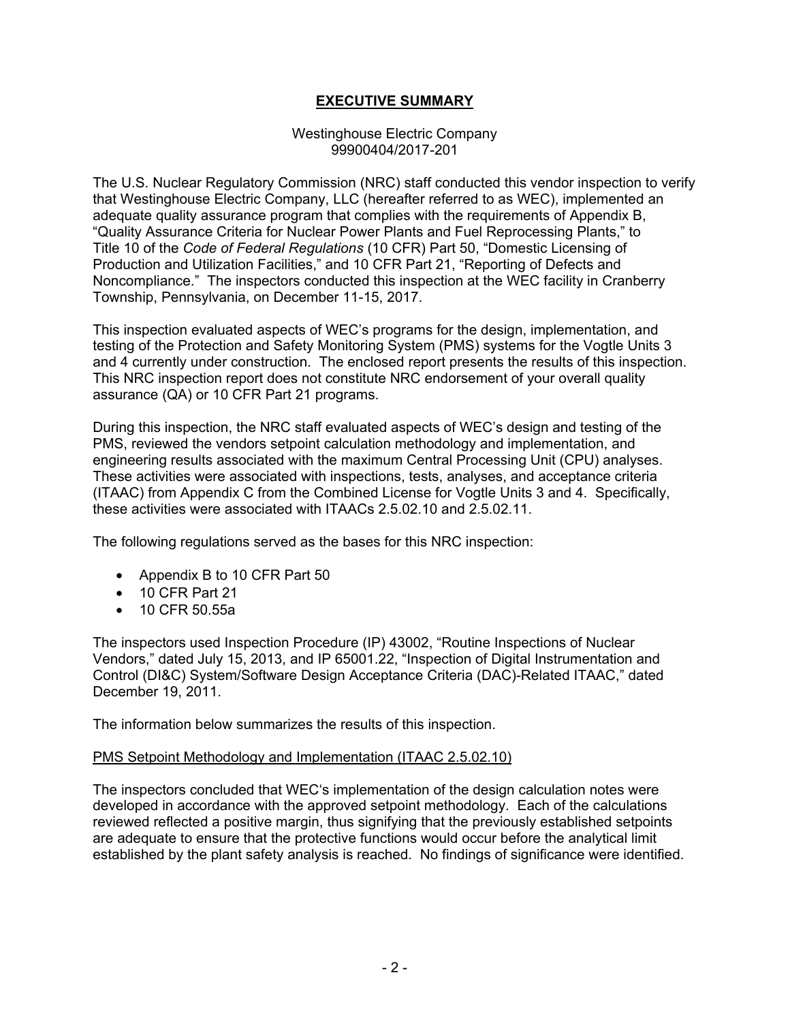## **EXECUTIVE SUMMARY**

#### Westinghouse Electric Company 99900404/2017-201

The U.S. Nuclear Regulatory Commission (NRC) staff conducted this vendor inspection to verify that Westinghouse Electric Company, LLC (hereafter referred to as WEC), implemented an adequate quality assurance program that complies with the requirements of Appendix B, "Quality Assurance Criteria for Nuclear Power Plants and Fuel Reprocessing Plants," to Title 10 of the *Code of Federal Regulations* (10 CFR) Part 50, "Domestic Licensing of Production and Utilization Facilities," and 10 CFR Part 21, "Reporting of Defects and Noncompliance." The inspectors conducted this inspection at the WEC facility in Cranberry Township, Pennsylvania, on December 11-15, 2017.

This inspection evaluated aspects of WEC's programs for the design, implementation, and testing of the Protection and Safety Monitoring System (PMS) systems for the Vogtle Units 3 and 4 currently under construction. The enclosed report presents the results of this inspection. This NRC inspection report does not constitute NRC endorsement of your overall quality assurance (QA) or 10 CFR Part 21 programs.

During this inspection, the NRC staff evaluated aspects of WEC's design and testing of the PMS, reviewed the vendors setpoint calculation methodology and implementation, and engineering results associated with the maximum Central Processing Unit (CPU) analyses. These activities were associated with inspections, tests, analyses, and acceptance criteria (ITAAC) from Appendix C from the Combined License for Vogtle Units 3 and 4. Specifically, these activities were associated with ITAACs 2.5.02.10 and 2.5.02.11.

The following regulations served as the bases for this NRC inspection:

- Appendix B to 10 CFR Part 50
- 10 CFR Part 21
- 10 CFR 50.55a

The inspectors used Inspection Procedure (IP) 43002, "Routine Inspections of Nuclear Vendors," dated July 15, 2013, and IP 65001.22, "Inspection of Digital Instrumentation and Control (DI&C) System/Software Design Acceptance Criteria (DAC)-Related ITAAC," dated December 19, 2011.

The information below summarizes the results of this inspection.

#### PMS Setpoint Methodology and Implementation (ITAAC 2.5.02.10)

The inspectors concluded that WEC's implementation of the design calculation notes were developed in accordance with the approved setpoint methodology. Each of the calculations reviewed reflected a positive margin, thus signifying that the previously established setpoints are adequate to ensure that the protective functions would occur before the analytical limit established by the plant safety analysis is reached. No findings of significance were identified.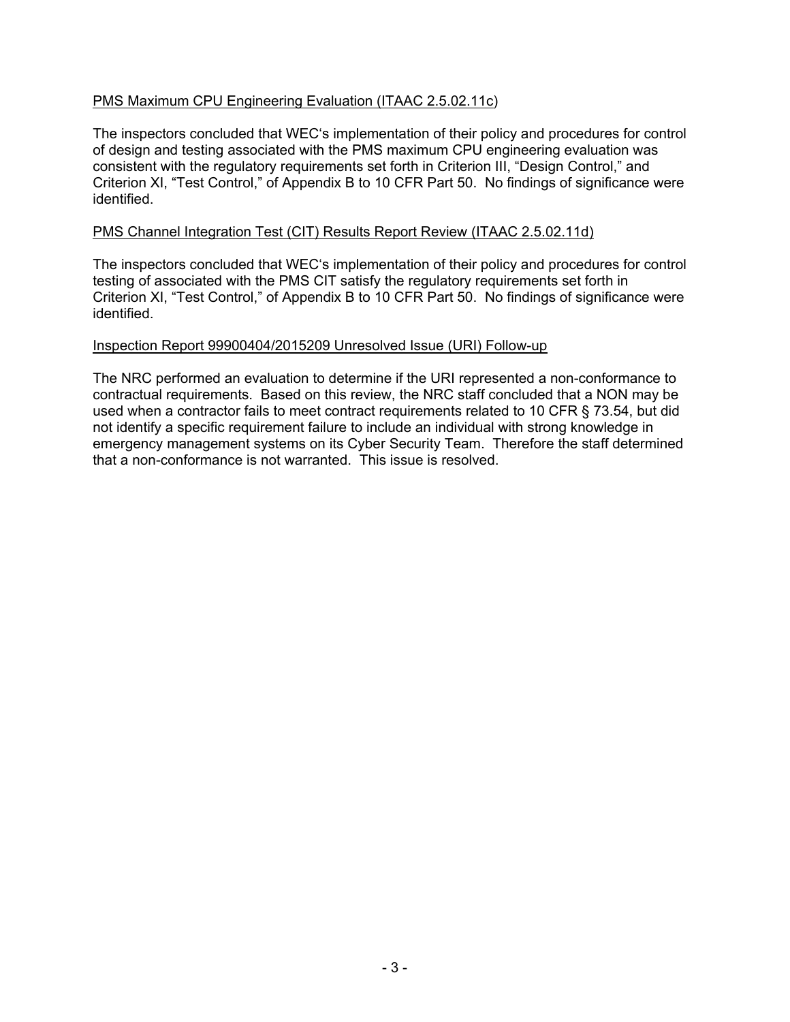## PMS Maximum CPU Engineering Evaluation (ITAAC 2.5.02.11c)

The inspectors concluded that WEC's implementation of their policy and procedures for control of design and testing associated with the PMS maximum CPU engineering evaluation was consistent with the regulatory requirements set forth in Criterion III, "Design Control," and Criterion XI, "Test Control," of Appendix B to 10 CFR Part 50. No findings of significance were identified.

#### PMS Channel Integration Test (CIT) Results Report Review (ITAAC 2.5.02.11d)

The inspectors concluded that WEC's implementation of their policy and procedures for control testing of associated with the PMS CIT satisfy the regulatory requirements set forth in Criterion XI, "Test Control," of Appendix B to 10 CFR Part 50. No findings of significance were identified.

#### Inspection Report 99900404/2015209 Unresolved Issue (URI) Follow-up

The NRC performed an evaluation to determine if the URI represented a non-conformance to contractual requirements. Based on this review, the NRC staff concluded that a NON may be used when a contractor fails to meet contract requirements related to 10 CFR § 73.54, but did not identify a specific requirement failure to include an individual with strong knowledge in emergency management systems on its Cyber Security Team. Therefore the staff determined that a non-conformance is not warranted. This issue is resolved.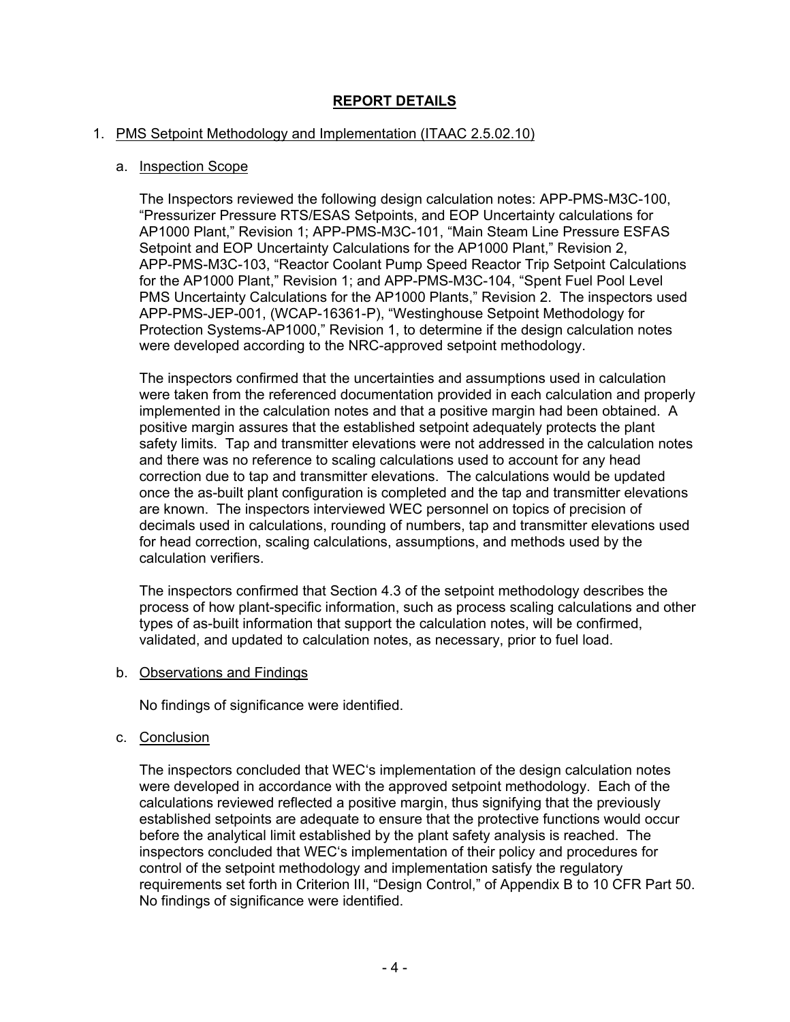# **REPORT DETAILS**

## 1. PMS Setpoint Methodology and Implementation (ITAAC 2.5.02.10)

## a. Inspection Scope

The Inspectors reviewed the following design calculation notes: APP-PMS-M3C-100, "Pressurizer Pressure RTS/ESAS Setpoints, and EOP Uncertainty calculations for AP1000 Plant," Revision 1; APP-PMS-M3C-101, "Main Steam Line Pressure ESFAS Setpoint and EOP Uncertainty Calculations for the AP1000 Plant," Revision 2, APP-PMS-M3C-103, "Reactor Coolant Pump Speed Reactor Trip Setpoint Calculations for the AP1000 Plant," Revision 1; and APP-PMS-M3C-104, "Spent Fuel Pool Level PMS Uncertainty Calculations for the AP1000 Plants," Revision 2. The inspectors used APP-PMS-JEP-001, (WCAP-16361-P), "Westinghouse Setpoint Methodology for Protection Systems-AP1000," Revision 1, to determine if the design calculation notes were developed according to the NRC-approved setpoint methodology.

The inspectors confirmed that the uncertainties and assumptions used in calculation were taken from the referenced documentation provided in each calculation and properly implemented in the calculation notes and that a positive margin had been obtained. A positive margin assures that the established setpoint adequately protects the plant safety limits. Tap and transmitter elevations were not addressed in the calculation notes and there was no reference to scaling calculations used to account for any head correction due to tap and transmitter elevations. The calculations would be updated once the as-built plant configuration is completed and the tap and transmitter elevations are known. The inspectors interviewed WEC personnel on topics of precision of decimals used in calculations, rounding of numbers, tap and transmitter elevations used for head correction, scaling calculations, assumptions, and methods used by the calculation verifiers.

The inspectors confirmed that Section 4.3 of the setpoint methodology describes the process of how plant-specific information, such as process scaling calculations and other types of as-built information that support the calculation notes, will be confirmed, validated, and updated to calculation notes, as necessary, prior to fuel load.

b. Observations and Findings

No findings of significance were identified.

## c. Conclusion

The inspectors concluded that WEC's implementation of the design calculation notes were developed in accordance with the approved setpoint methodology. Each of the calculations reviewed reflected a positive margin, thus signifying that the previously established setpoints are adequate to ensure that the protective functions would occur before the analytical limit established by the plant safety analysis is reached. The inspectors concluded that WEC's implementation of their policy and procedures for control of the setpoint methodology and implementation satisfy the regulatory requirements set forth in Criterion III, "Design Control," of Appendix B to 10 CFR Part 50. No findings of significance were identified.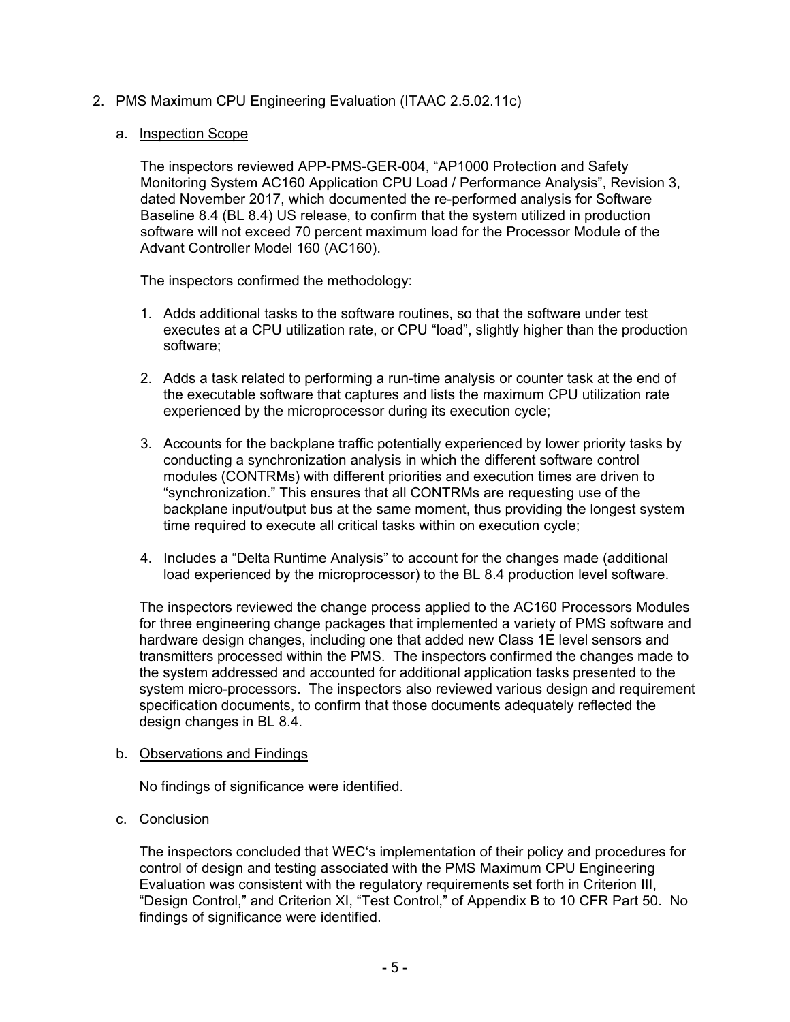## 2. PMS Maximum CPU Engineering Evaluation (ITAAC 2.5.02.11c)

#### a. Inspection Scope

The inspectors reviewed APP-PMS-GER-004, "AP1000 Protection and Safety Monitoring System AC160 Application CPU Load / Performance Analysis", Revision 3, dated November 2017, which documented the re-performed analysis for Software Baseline 8.4 (BL 8.4) US release, to confirm that the system utilized in production software will not exceed 70 percent maximum load for the Processor Module of the Advant Controller Model 160 (AC160).

The inspectors confirmed the methodology:

- 1. Adds additional tasks to the software routines, so that the software under test executes at a CPU utilization rate, or CPU "load", slightly higher than the production software;
- 2. Adds a task related to performing a run-time analysis or counter task at the end of the executable software that captures and lists the maximum CPU utilization rate experienced by the microprocessor during its execution cycle;
- 3. Accounts for the backplane traffic potentially experienced by lower priority tasks by conducting a synchronization analysis in which the different software control modules (CONTRMs) with different priorities and execution times are driven to "synchronization." This ensures that all CONTRMs are requesting use of the backplane input/output bus at the same moment, thus providing the longest system time required to execute all critical tasks within on execution cycle;
- 4. Includes a "Delta Runtime Analysis" to account for the changes made (additional load experienced by the microprocessor) to the BL 8.4 production level software.

The inspectors reviewed the change process applied to the AC160 Processors Modules for three engineering change packages that implemented a variety of PMS software and hardware design changes, including one that added new Class 1E level sensors and transmitters processed within the PMS. The inspectors confirmed the changes made to the system addressed and accounted for additional application tasks presented to the system micro-processors. The inspectors also reviewed various design and requirement specification documents, to confirm that those documents adequately reflected the design changes in BL 8.4.

## b. Observations and Findings

No findings of significance were identified.

c. Conclusion

The inspectors concluded that WEC's implementation of their policy and procedures for control of design and testing associated with the PMS Maximum CPU Engineering Evaluation was consistent with the regulatory requirements set forth in Criterion III, "Design Control," and Criterion XI, "Test Control," of Appendix B to 10 CFR Part 50. No findings of significance were identified.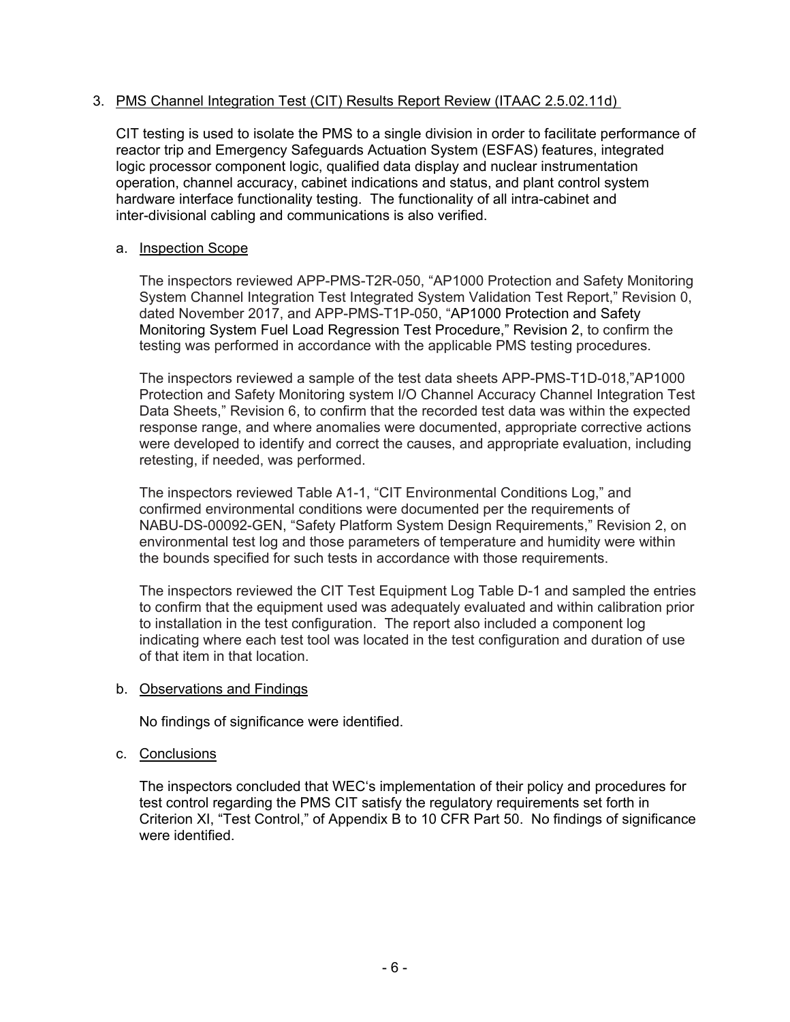## 3. PMS Channel Integration Test (CIT) Results Report Review (ITAAC 2.5.02.11d)

CIT testing is used to isolate the PMS to a single division in order to facilitate performance of reactor trip and Emergency Safeguards Actuation System (ESFAS) features, integrated logic processor component logic, qualified data display and nuclear instrumentation operation, channel accuracy, cabinet indications and status, and plant control system hardware interface functionality testing. The functionality of all intra-cabinet and inter-divisional cabling and communications is also verified.

#### a. Inspection Scope

The inspectors reviewed APP-PMS-T2R-050, "AP1000 Protection and Safety Monitoring System Channel Integration Test Integrated System Validation Test Report," Revision 0, dated November 2017, and APP-PMS-T1P-050, "AP1000 Protection and Safety Monitoring System Fuel Load Regression Test Procedure," Revision 2, to confirm the testing was performed in accordance with the applicable PMS testing procedures.

The inspectors reviewed a sample of the test data sheets APP-PMS-T1D-018,"AP1000 Protection and Safety Monitoring system I/O Channel Accuracy Channel Integration Test Data Sheets," Revision 6, to confirm that the recorded test data was within the expected response range, and where anomalies were documented, appropriate corrective actions were developed to identify and correct the causes, and appropriate evaluation, including retesting, if needed, was performed.

The inspectors reviewed Table A1-1, "CIT Environmental Conditions Log," and confirmed environmental conditions were documented per the requirements of NABU-DS-00092-GEN, "Safety Platform System Design Requirements," Revision 2, on environmental test log and those parameters of temperature and humidity were within the bounds specified for such tests in accordance with those requirements.

The inspectors reviewed the CIT Test Equipment Log Table D-1 and sampled the entries to confirm that the equipment used was adequately evaluated and within calibration prior to installation in the test configuration. The report also included a component log indicating where each test tool was located in the test configuration and duration of use of that item in that location.

## b. Observations and Findings

No findings of significance were identified.

## c. Conclusions

The inspectors concluded that WEC's implementation of their policy and procedures for test control regarding the PMS CIT satisfy the regulatory requirements set forth in Criterion XI, "Test Control," of Appendix B to 10 CFR Part 50. No findings of significance were identified.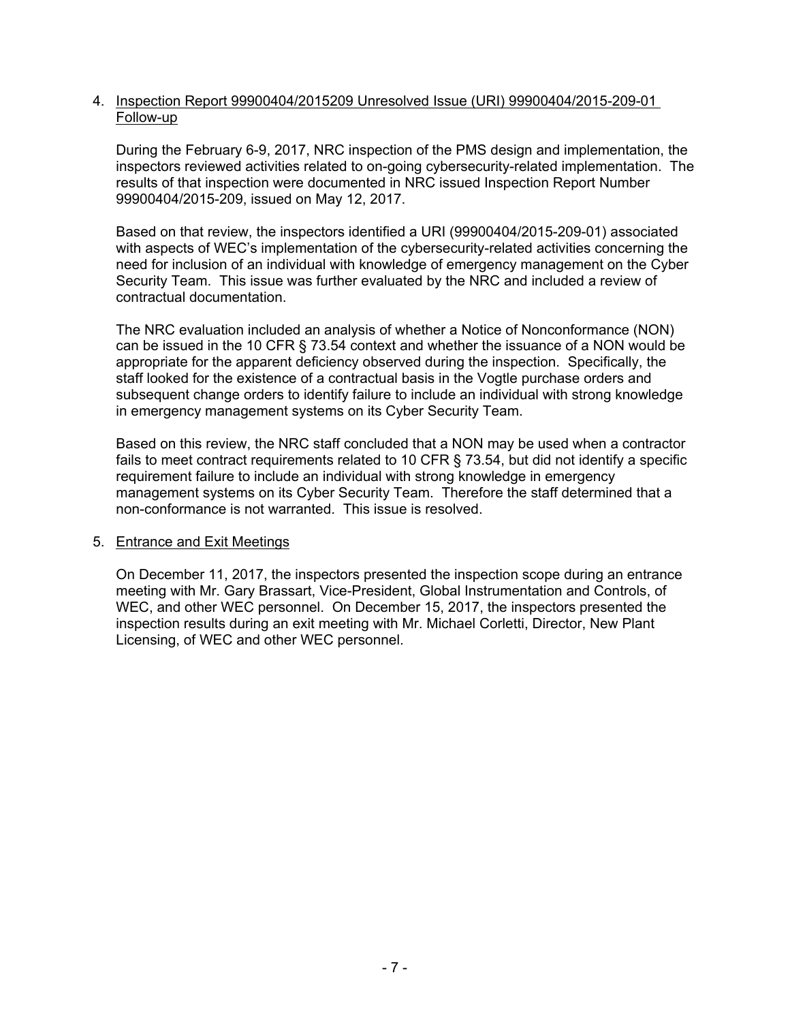#### 4. Inspection Report 99900404/2015209 Unresolved Issue (URI) 99900404/2015-209-01 Follow-up

During the February 6-9, 2017, NRC inspection of the PMS design and implementation, the inspectors reviewed activities related to on-going cybersecurity-related implementation. The results of that inspection were documented in NRC issued Inspection Report Number 99900404/2015-209, issued on May 12, 2017.

Based on that review, the inspectors identified a URI (99900404/2015-209-01) associated with aspects of WEC's implementation of the cybersecurity-related activities concerning the need for inclusion of an individual with knowledge of emergency management on the Cyber Security Team. This issue was further evaluated by the NRC and included a review of contractual documentation.

The NRC evaluation included an analysis of whether a Notice of Nonconformance (NON) can be issued in the 10 CFR § 73.54 context and whether the issuance of a NON would be appropriate for the apparent deficiency observed during the inspection. Specifically, the staff looked for the existence of a contractual basis in the Vogtle purchase orders and subsequent change orders to identify failure to include an individual with strong knowledge in emergency management systems on its Cyber Security Team.

Based on this review, the NRC staff concluded that a NON may be used when a contractor fails to meet contract requirements related to 10 CFR § 73.54, but did not identify a specific requirement failure to include an individual with strong knowledge in emergency management systems on its Cyber Security Team. Therefore the staff determined that a non-conformance is not warranted. This issue is resolved.

## 5. Entrance and Exit Meetings

On December 11, 2017, the inspectors presented the inspection scope during an entrance meeting with Mr. Gary Brassart, Vice-President, Global Instrumentation and Controls, of WEC, and other WEC personnel. On December 15, 2017, the inspectors presented the inspection results during an exit meeting with Mr. Michael Corletti, Director, New Plant Licensing, of WEC and other WEC personnel.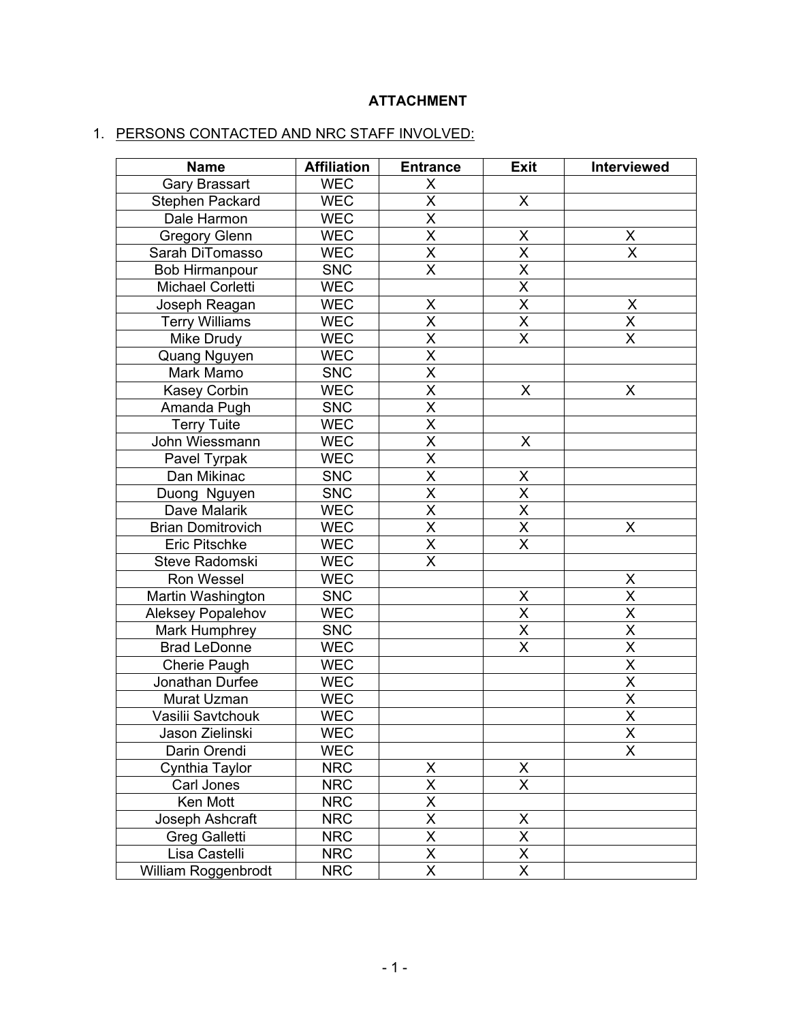# **ATTACHMENT**

# 1. PERSONS CONTACTED AND NRC STAFF INVOLVED:

| <b>Name</b>              | <b>Affiliation</b> | <b>Entrance</b>         | <b>Exit</b>             | Interviewed             |
|--------------------------|--------------------|-------------------------|-------------------------|-------------------------|
| <b>Gary Brassart</b>     | <b>WEC</b>         | X                       |                         |                         |
| Stephen Packard          | <b>WEC</b>         | $\overline{\mathsf{x}}$ | X                       |                         |
| Dale Harmon              | <b>WEC</b>         | $\overline{\mathsf{X}}$ |                         |                         |
| <b>Gregory Glenn</b>     | <b>WEC</b>         | $\overline{\mathsf{x}}$ | X                       | X                       |
| Sarah DiTomasso          | <b>WEC</b>         | $\overline{\mathsf{x}}$ | $\overline{\mathsf{x}}$ | $\overline{\mathsf{x}}$ |
| <b>Bob Hirmanpour</b>    | <b>SNC</b>         | $\overline{\mathsf{x}}$ | $\overline{\mathsf{x}}$ |                         |
| <b>Michael Corletti</b>  | <b>WEC</b>         |                         | $\overline{\mathsf{x}}$ |                         |
| Joseph Reagan            | <b>WEC</b>         | X                       | $\overline{\mathsf{x}}$ | $\pmb{\mathsf{X}}$      |
| <b>Terry Williams</b>    | <b>WEC</b>         | $\overline{\mathsf{x}}$ | $\overline{\mathsf{x}}$ | $\overline{\mathsf{x}}$ |
| Mike Drudy               | <b>WEC</b>         | $\overline{\mathsf{x}}$ | $\overline{\mathsf{x}}$ | $\overline{\mathsf{X}}$ |
| Quang Nguyen             | <b>WEC</b>         | $\overline{\mathsf{x}}$ |                         |                         |
| Mark Mamo                | <b>SNC</b>         | $\overline{\mathsf{x}}$ |                         |                         |
| <b>Kasey Corbin</b>      | <b>WEC</b>         | $\overline{\mathsf{x}}$ | $\pmb{\mathsf{X}}$      | X                       |
| Amanda Pugh              | <b>SNC</b>         | $\overline{\mathsf{x}}$ |                         |                         |
| <b>Terry Tuite</b>       | <b>WEC</b>         | $\overline{\mathsf{x}}$ |                         |                         |
| John Wiessmann           | <b>WEC</b>         | $\overline{\mathsf{x}}$ | $\sf X$                 |                         |
| Pavel Tyrpak             | <b>WEC</b>         | $\overline{\mathsf{x}}$ |                         |                         |
| Dan Mikinac              | <b>SNC</b>         | $\overline{\mathsf{x}}$ | X                       |                         |
| Duong Nguyen             | <b>SNC</b>         | $\overline{\mathsf{x}}$ | $\overline{\mathsf{X}}$ |                         |
| Dave Malarik             | <b>WEC</b>         | $\overline{\mathsf{x}}$ | $\overline{\mathsf{x}}$ |                         |
| <b>Brian Domitrovich</b> | <b>WEC</b>         | $\overline{\mathsf{x}}$ | $\overline{\mathsf{X}}$ | X                       |
| <b>Eric Pitschke</b>     | <b>WEC</b>         | $\overline{\mathsf{x}}$ | $\overline{\mathsf{x}}$ |                         |
| Steve Radomski           | <b>WEC</b>         | $\overline{\mathsf{x}}$ |                         |                         |
| Ron Wessel               | <b>WEC</b>         |                         |                         | X                       |
| Martin Washington        | <b>SNC</b>         |                         | X                       | X                       |
| Aleksey Popalehov        | <b>WEC</b>         |                         | X                       | $\overline{\mathsf{x}}$ |
| Mark Humphrey            | <b>SNC</b>         |                         | $\overline{\mathsf{X}}$ | $\overline{\mathsf{x}}$ |
| <b>Brad LeDonne</b>      | <b>WEC</b>         |                         | $\overline{\mathsf{x}}$ | $\overline{\mathsf{x}}$ |
| Cherie Paugh             | <b>WEC</b>         |                         |                         | $\overline{\mathsf{x}}$ |
| Jonathan Durfee          | <b>WEC</b>         |                         |                         | $\overline{\mathsf{x}}$ |
| Murat Uzman              | <b>WEC</b>         |                         |                         | $\overline{\mathsf{x}}$ |
| Vasilii Savtchouk        | <b>WEC</b>         |                         |                         | $\overline{\mathsf{x}}$ |
| Jason Zielinski          | <b>WEC</b>         |                         |                         | $\overline{X}$          |
| Darin Orendi             | <b>WEC</b>         |                         |                         | X                       |
| Cynthia Taylor           | <b>NRC</b>         | X                       | X                       |                         |
| Carl Jones               | <b>NRC</b>         | $\overline{\mathsf{x}}$ | $\overline{\mathsf{x}}$ |                         |
| Ken Mott                 | <b>NRC</b>         | X                       |                         |                         |
| Joseph Ashcraft          | <b>NRC</b>         | $\overline{\mathsf{x}}$ | X                       |                         |
| <b>Greg Galletti</b>     | <b>NRC</b>         | $\overline{\mathsf{x}}$ | $\overline{\mathsf{x}}$ |                         |
| Lisa Castelli            | <b>NRC</b>         | $\overline{\mathsf{x}}$ | $\overline{\mathsf{X}}$ |                         |
| William Roggenbrodt      | <b>NRC</b>         | $\overline{\mathsf{x}}$ | $\overline{\mathsf{x}}$ |                         |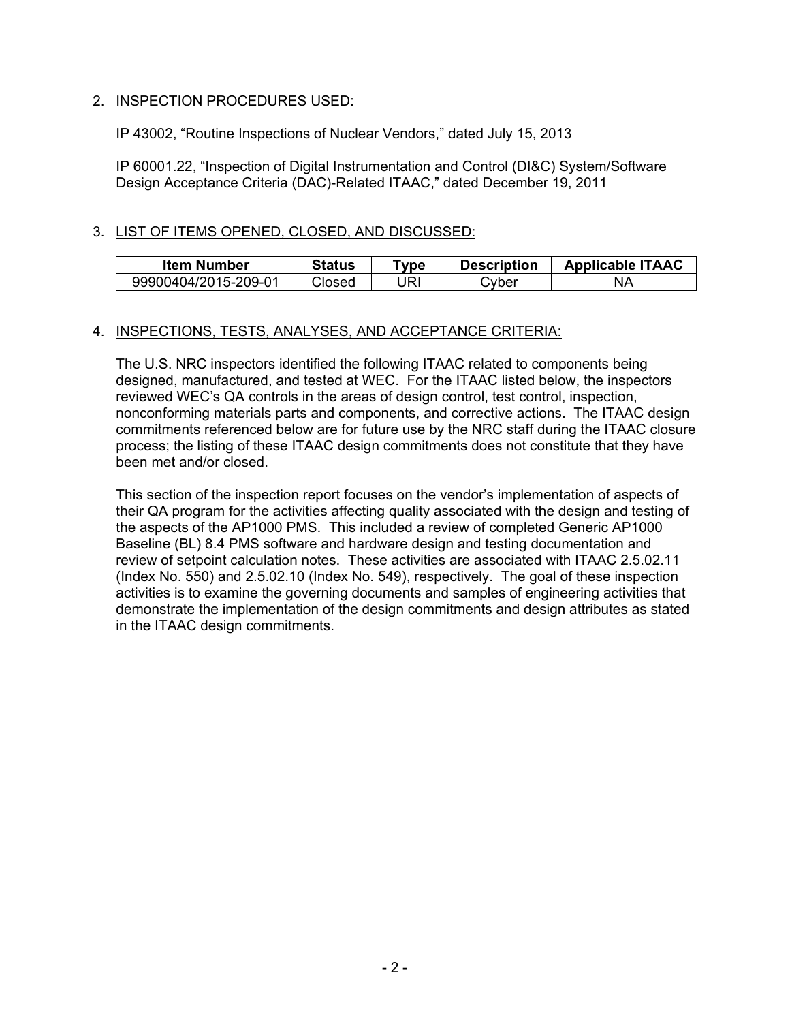## 2. INSPECTION PROCEDURES USED:

IP 43002, "Routine Inspections of Nuclear Vendors," dated July 15, 2013

IP 60001.22, "Inspection of Digital Instrumentation and Control (DI&C) System/Software Design Acceptance Criteria (DAC)-Related ITAAC," dated December 19, 2011

## 3. LIST OF ITEMS OPENED, CLOSED, AND DISCUSSED:

| Item Number          | Status | vpe ⊺ | <b>Description</b> | <b>Applicable ITAAC</b> |
|----------------------|--------|-------|--------------------|-------------------------|
| 99900404/2015-209-01 | Closed | JRI   | ⊇vber              | NΑ                      |

## 4. INSPECTIONS, TESTS, ANALYSES, AND ACCEPTANCE CRITERIA:

The U.S. NRC inspectors identified the following ITAAC related to components being designed, manufactured, and tested at WEC. For the ITAAC listed below, the inspectors reviewed WEC's QA controls in the areas of design control, test control, inspection, nonconforming materials parts and components, and corrective actions. The ITAAC design commitments referenced below are for future use by the NRC staff during the ITAAC closure process; the listing of these ITAAC design commitments does not constitute that they have been met and/or closed.

This section of the inspection report focuses on the vendor's implementation of aspects of their QA program for the activities affecting quality associated with the design and testing of the aspects of the AP1000 PMS. This included a review of completed Generic AP1000 Baseline (BL) 8.4 PMS software and hardware design and testing documentation and review of setpoint calculation notes. These activities are associated with ITAAC 2.5.02.11 (Index No. 550) and 2.5.02.10 (Index No. 549), respectively. The goal of these inspection activities is to examine the governing documents and samples of engineering activities that demonstrate the implementation of the design commitments and design attributes as stated in the ITAAC design commitments.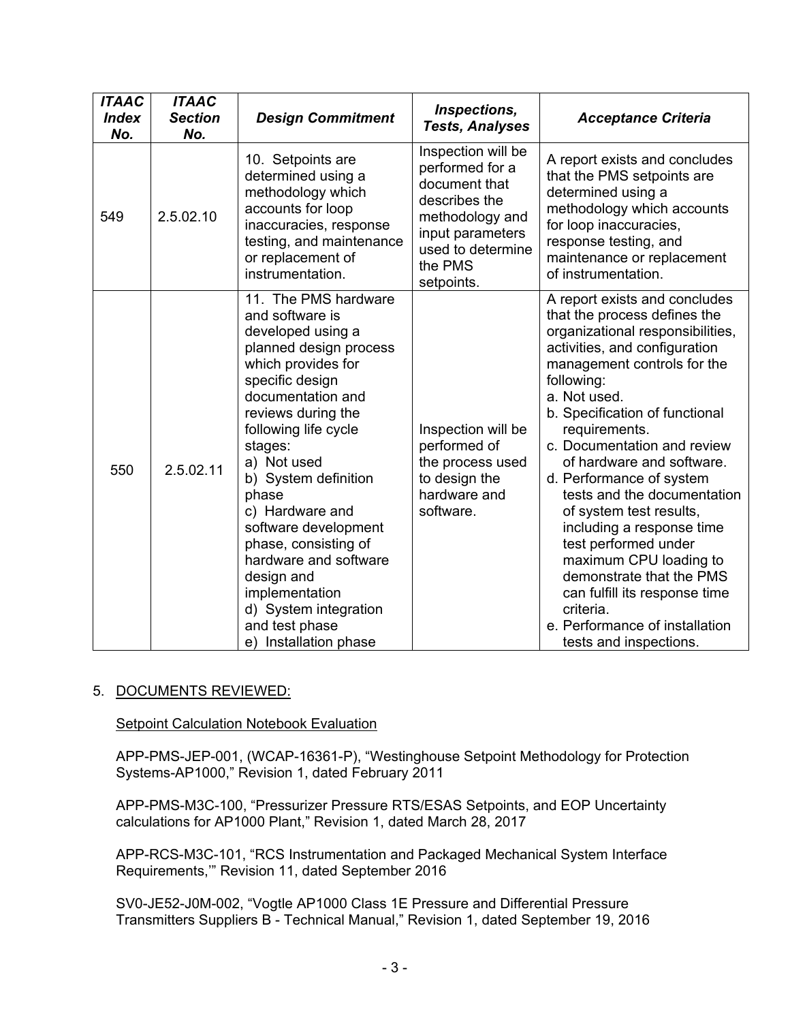| <b>ITAAC</b><br><b>Index</b> | <b>ITAAC</b><br><b>Section</b> | <b>Design Commitment</b>                                                                                                                                                                                                                                                                                                                                                                                                                                      | Inspections,                                                                                                                                                 | <b>Acceptance Criteria</b>                                                                                                                                                                                                                                                                                                                                                                                                                                                                                                                                                                                                |
|------------------------------|--------------------------------|---------------------------------------------------------------------------------------------------------------------------------------------------------------------------------------------------------------------------------------------------------------------------------------------------------------------------------------------------------------------------------------------------------------------------------------------------------------|--------------------------------------------------------------------------------------------------------------------------------------------------------------|---------------------------------------------------------------------------------------------------------------------------------------------------------------------------------------------------------------------------------------------------------------------------------------------------------------------------------------------------------------------------------------------------------------------------------------------------------------------------------------------------------------------------------------------------------------------------------------------------------------------------|
| No.                          | No.                            |                                                                                                                                                                                                                                                                                                                                                                                                                                                               | <b>Tests, Analyses</b>                                                                                                                                       |                                                                                                                                                                                                                                                                                                                                                                                                                                                                                                                                                                                                                           |
| 549                          | 2.5.02.10                      | 10. Setpoints are<br>determined using a<br>methodology which<br>accounts for loop<br>inaccuracies, response<br>testing, and maintenance<br>or replacement of<br>instrumentation.                                                                                                                                                                                                                                                                              | Inspection will be<br>performed for a<br>document that<br>describes the<br>methodology and<br>input parameters<br>used to determine<br>the PMS<br>setpoints. | A report exists and concludes<br>that the PMS setpoints are<br>determined using a<br>methodology which accounts<br>for loop inaccuracies,<br>response testing, and<br>maintenance or replacement<br>of instrumentation.                                                                                                                                                                                                                                                                                                                                                                                                   |
| 550                          | 2.5.02.11                      | 11. The PMS hardware<br>and software is<br>developed using a<br>planned design process<br>which provides for<br>specific design<br>documentation and<br>reviews during the<br>following life cycle<br>stages:<br>a) Not used<br>b) System definition<br>phase<br>c) Hardware and<br>software development<br>phase, consisting of<br>hardware and software<br>design and<br>implementation<br>d) System integration<br>and test phase<br>e) Installation phase | Inspection will be<br>performed of<br>the process used<br>to design the<br>hardware and<br>software.                                                         | A report exists and concludes<br>that the process defines the<br>organizational responsibilities,<br>activities, and configuration<br>management controls for the<br>following:<br>a. Not used.<br>b. Specification of functional<br>requirements.<br>c. Documentation and review<br>of hardware and software.<br>d. Performance of system<br>tests and the documentation<br>of system test results,<br>including a response time<br>test performed under<br>maximum CPU loading to<br>demonstrate that the PMS<br>can fulfill its response time<br>criteria.<br>e. Performance of installation<br>tests and inspections. |

# 5. DOCUMENTS REVIEWED:

**Setpoint Calculation Notebook Evaluation** 

APP-PMS-JEP-001, (WCAP-16361-P), "Westinghouse Setpoint Methodology for Protection Systems-AP1000," Revision 1, dated February 2011

APP-PMS-M3C-100, "Pressurizer Pressure RTS/ESAS Setpoints, and EOP Uncertainty calculations for AP1000 Plant," Revision 1, dated March 28, 2017

APP-RCS-M3C-101, "RCS Instrumentation and Packaged Mechanical System Interface Requirements,'" Revision 11, dated September 2016

SV0-JE52-J0M-002, "Vogtle AP1000 Class 1E Pressure and Differential Pressure Transmitters Suppliers B - Technical Manual," Revision 1, dated September 19, 2016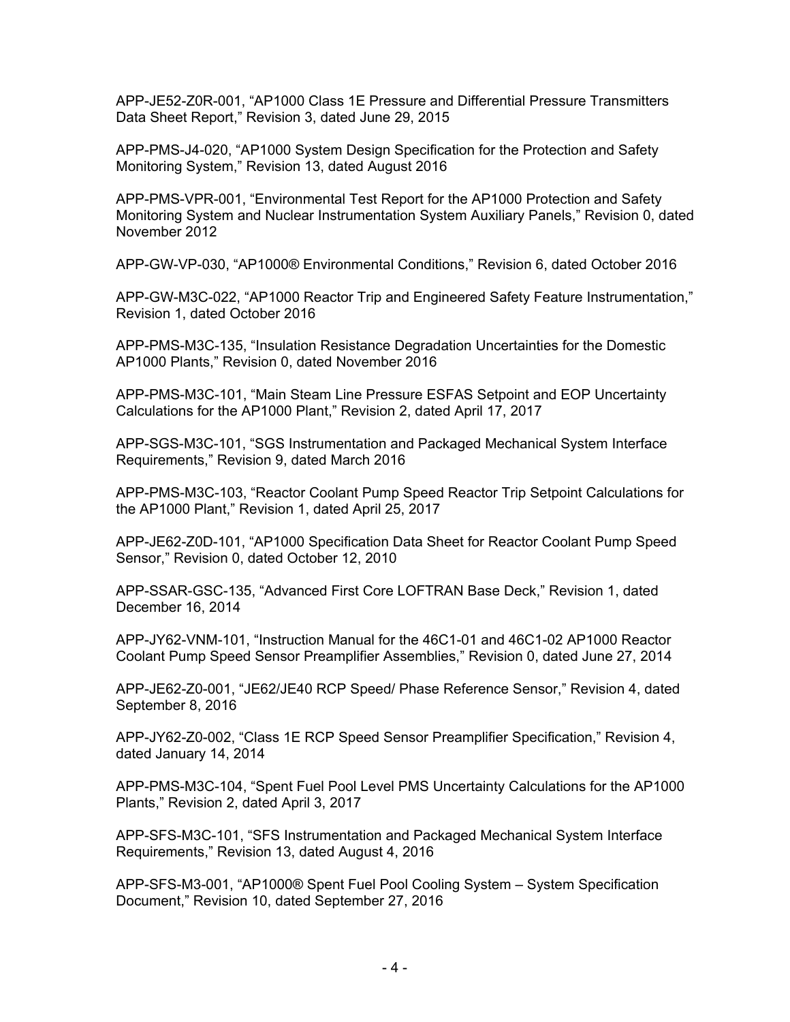APP-JE52-Z0R-001, "AP1000 Class 1E Pressure and Differential Pressure Transmitters Data Sheet Report," Revision 3, dated June 29, 2015

APP-PMS-J4-020, "AP1000 System Design Specification for the Protection and Safety Monitoring System," Revision 13, dated August 2016

APP-PMS-VPR-001, "Environmental Test Report for the AP1000 Protection and Safety Monitoring System and Nuclear Instrumentation System Auxiliary Panels," Revision 0, dated November 2012

APP-GW-VP-030, "AP1000® Environmental Conditions," Revision 6, dated October 2016

APP-GW-M3C-022, "AP1000 Reactor Trip and Engineered Safety Feature Instrumentation," Revision 1, dated October 2016

APP-PMS-M3C-135, "Insulation Resistance Degradation Uncertainties for the Domestic AP1000 Plants," Revision 0, dated November 2016

APP-PMS-M3C-101, "Main Steam Line Pressure ESFAS Setpoint and EOP Uncertainty Calculations for the AP1000 Plant," Revision 2, dated April 17, 2017

APP-SGS-M3C-101, "SGS Instrumentation and Packaged Mechanical System Interface Requirements," Revision 9, dated March 2016

APP-PMS-M3C-103, "Reactor Coolant Pump Speed Reactor Trip Setpoint Calculations for the AP1000 Plant," Revision 1, dated April 25, 2017

APP-JE62-Z0D-101, "AP1000 Specification Data Sheet for Reactor Coolant Pump Speed Sensor," Revision 0, dated October 12, 2010

APP-SSAR-GSC-135, "Advanced First Core LOFTRAN Base Deck," Revision 1, dated December 16, 2014

APP-JY62-VNM-101, "Instruction Manual for the 46C1-01 and 46C1-02 AP1000 Reactor Coolant Pump Speed Sensor Preamplifier Assemblies," Revision 0, dated June 27, 2014

APP-JE62-Z0-001, "JE62/JE40 RCP Speed/ Phase Reference Sensor," Revision 4, dated September 8, 2016

APP-JY62-Z0-002, "Class 1E RCP Speed Sensor Preamplifier Specification," Revision 4, dated January 14, 2014

APP-PMS-M3C-104, "Spent Fuel Pool Level PMS Uncertainty Calculations for the AP1000 Plants," Revision 2, dated April 3, 2017

APP-SFS-M3C-101, "SFS Instrumentation and Packaged Mechanical System Interface Requirements," Revision 13, dated August 4, 2016

APP-SFS-M3-001, "AP1000® Spent Fuel Pool Cooling System – System Specification Document," Revision 10, dated September 27, 2016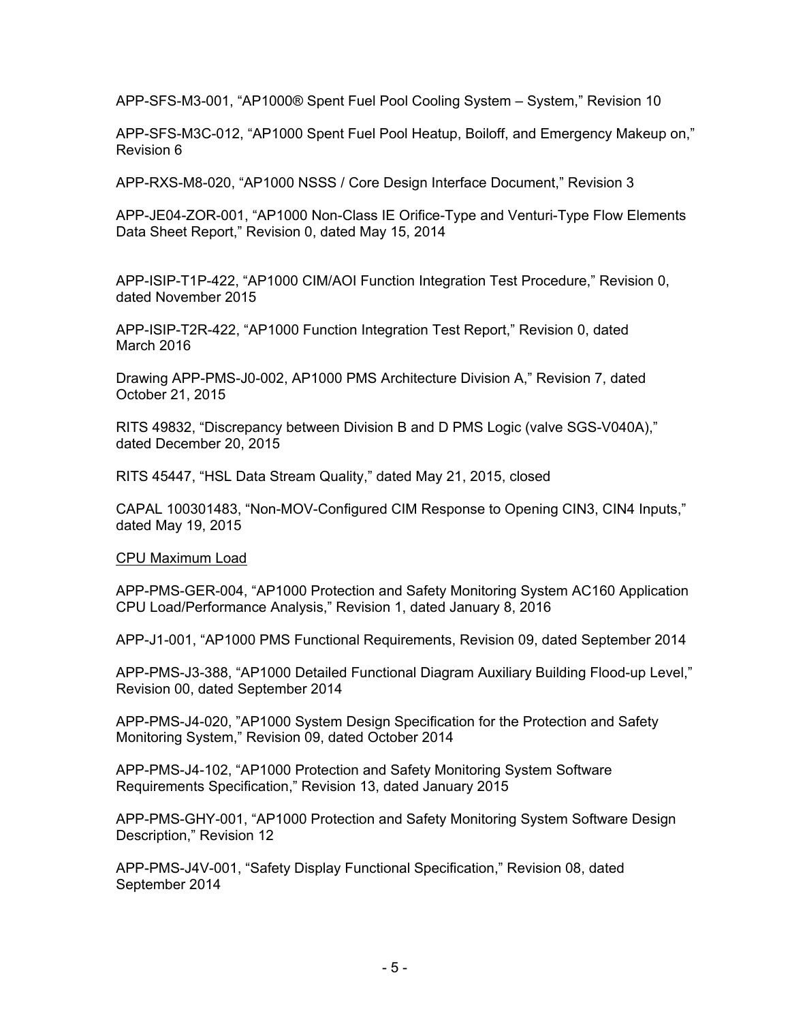APP-SFS-M3-001, "AP1000® Spent Fuel Pool Cooling System – System," Revision 10

APP-SFS-M3C-012, "AP1000 Spent Fuel Pool Heatup, Boiloff, and Emergency Makeup on," Revision 6

APP-RXS-M8-020, "AP1000 NSSS / Core Design Interface Document," Revision 3

APP-JE04-ZOR-001, "AP1000 Non-Class IE Orifice-Type and Venturi-Type Flow Elements Data Sheet Report," Revision 0, dated May 15, 2014

APP-ISIP-T1P-422, "AP1000 CIM/AOI Function Integration Test Procedure," Revision 0, dated November 2015

APP-ISIP-T2R-422, "AP1000 Function Integration Test Report," Revision 0, dated March 2016

Drawing APP-PMS-J0-002, AP1000 PMS Architecture Division A," Revision 7, dated October 21, 2015

RITS 49832, "Discrepancy between Division B and D PMS Logic (valve SGS-V040A)," dated December 20, 2015

RITS 45447, "HSL Data Stream Quality," dated May 21, 2015, closed

CAPAL 100301483, "Non-MOV-Configured CIM Response to Opening CIN3, CIN4 Inputs," dated May 19, 2015

CPU Maximum Load

APP-PMS-GER-004, "AP1000 Protection and Safety Monitoring System AC160 Application CPU Load/Performance Analysis," Revision 1, dated January 8, 2016

APP-J1-001, "AP1000 PMS Functional Requirements, Revision 09, dated September 2014

APP-PMS-J3-388, "AP1000 Detailed Functional Diagram Auxiliary Building Flood-up Level," Revision 00, dated September 2014

APP-PMS-J4-020, "AP1000 System Design Specification for the Protection and Safety Monitoring System," Revision 09, dated October 2014

APP-PMS-J4-102, "AP1000 Protection and Safety Monitoring System Software Requirements Specification," Revision 13, dated January 2015

APP-PMS-GHY-001, "AP1000 Protection and Safety Monitoring System Software Design Description," Revision 12

APP-PMS-J4V-001, "Safety Display Functional Specification," Revision 08, dated September 2014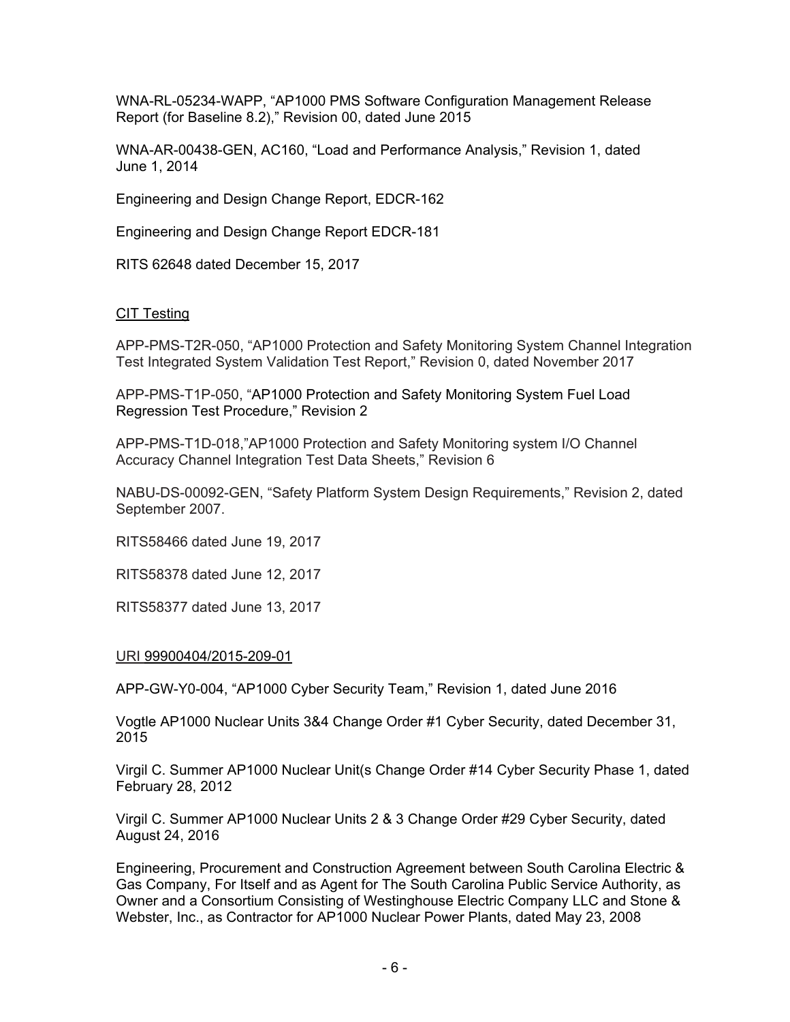WNA-RL-05234-WAPP, "AP1000 PMS Software Configuration Management Release Report (for Baseline 8.2)," Revision 00, dated June 2015

WNA-AR-00438-GEN, AC160, "Load and Performance Analysis," Revision 1, dated June 1, 2014

Engineering and Design Change Report, EDCR-162

Engineering and Design Change Report EDCR-181

RITS 62648 dated December 15, 2017

#### CIT Testing

APP-PMS-T2R-050, "AP1000 Protection and Safety Monitoring System Channel Integration Test Integrated System Validation Test Report," Revision 0, dated November 2017

APP-PMS-T1P-050, "AP1000 Protection and Safety Monitoring System Fuel Load Regression Test Procedure," Revision 2

APP-PMS-T1D-018,"AP1000 Protection and Safety Monitoring system I/O Channel Accuracy Channel Integration Test Data Sheets," Revision 6

NABU-DS-00092-GEN, "Safety Platform System Design Requirements," Revision 2, dated September 2007.

RITS58466 dated June 19, 2017

RITS58378 dated June 12, 2017

RITS58377 dated June 13, 2017

#### URI 99900404/2015-209-01

APP-GW-Y0-004, "AP1000 Cyber Security Team," Revision 1, dated June 2016

Vogtle AP1000 Nuclear Units 3&4 Change Order #1 Cyber Security, dated December 31, 2015

Virgil C. Summer AP1000 Nuclear Unit(s Change Order #14 Cyber Security Phase 1, dated February 28, 2012

Virgil C. Summer AP1000 Nuclear Units 2 & 3 Change Order #29 Cyber Security, dated August 24, 2016

Engineering, Procurement and Construction Agreement between South Carolina Electric & Gas Company, For Itself and as Agent for The South Carolina Public Service Authority, as Owner and a Consortium Consisting of Westinghouse Electric Company LLC and Stone & Webster, Inc., as Contractor for AP1000 Nuclear Power Plants, dated May 23, 2008